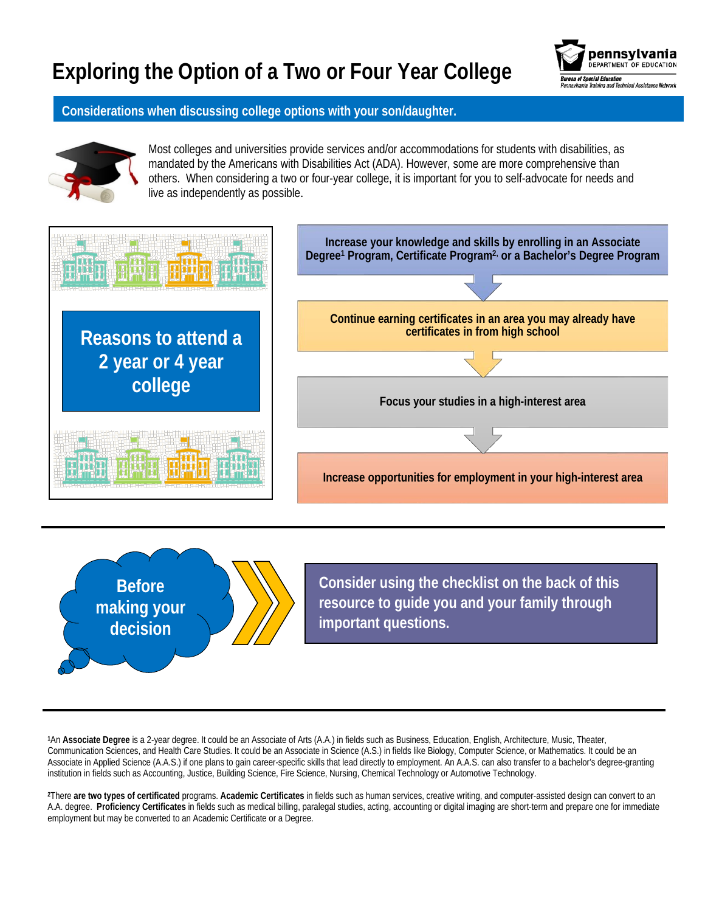## **Exploring the Option of a Two or Four Year College**



## **Considerations when discussing college options with your son/daughter.**



Most colleges and universities provide services and/or accommodations for students with disabilities, as mandated by the Americans with Disabilities Act (ADA). However, some are more comprehensive than others. When considering a two or four-year college, it is important for you to self-advocate for needs and live as independently as possible.





**Consider using the checklist on the back of this resource to guide you and your family through important questions.**

**<sup>1</sup>**An **Associate Degree** is a 2-year degree. It could be an Associate of Arts (A.A.) in fields such as Business, Education, English, Architecture, Music, Theater, Communication Sciences, and Health Care Studies. It could be an Associate in Science (A.S.) in fields like Biology, Computer Science, or Mathematics. It could be an Associate in Applied Science (A.A.S.) if one plans to gain career-specific skills that lead directly to employment. An A.A.S. can also transfer to a bachelor's degree-granting institution in fields such as Accounting, Justice, Building Science, Fire Science, Nursing, Chemical Technology or Automotive Technology.

**<sup>2</sup>**There **are two types of certificated** programs. **Academic Certificates** in fields such as human services, creative writing, and computer-assisted design can convert to an A.A. degree. **Proficiency Certificates** in fields such as medical billing, paralegal studies, acting, accounting or digital imaging are short-term and prepare one for immediate employment but may be converted to an Academic Certificate or a Degree.